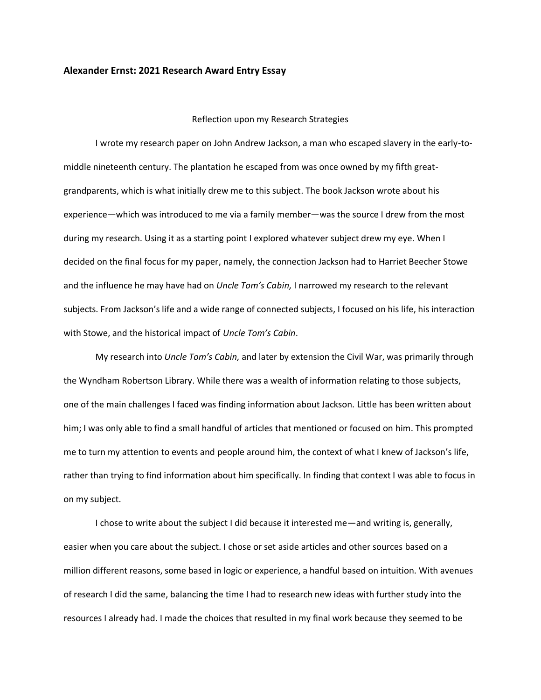## **Alexander Ernst: 2021 Research Award Entry Essay**

## Reflection upon my Research Strategies

I wrote my research paper on John Andrew Jackson, a man who escaped slavery in the early-tomiddle nineteenth century. The plantation he escaped from was once owned by my fifth greatgrandparents, which is what initially drew me to this subject. The book Jackson wrote about his experience—which was introduced to me via a family member—was the source I drew from the most during my research. Using it as a starting point I explored whatever subject drew my eye. When I decided on the final focus for my paper, namely, the connection Jackson had to Harriet Beecher Stowe and the influence he may have had on *Uncle Tom's Cabin,* I narrowed my research to the relevant subjects. From Jackson's life and a wide range of connected subjects, I focused on his life, his interaction with Stowe, and the historical impact of *Uncle Tom's Cabin*.

My research into *Uncle Tom's Cabin,* and later by extension the Civil War, was primarily through the Wyndham Robertson Library. While there was a wealth of information relating to those subjects, one of the main challenges I faced was finding information about Jackson. Little has been written about him; I was only able to find a small handful of articles that mentioned or focused on him. This prompted me to turn my attention to events and people around him, the context of what I knew of Jackson's life, rather than trying to find information about him specifically. In finding that context I was able to focus in on my subject.

I chose to write about the subject I did because it interested me—and writing is, generally, easier when you care about the subject. I chose or set aside articles and other sources based on a million different reasons, some based in logic or experience, a handful based on intuition. With avenues of research I did the same, balancing the time I had to research new ideas with further study into the resources I already had. I made the choices that resulted in my final work because they seemed to be